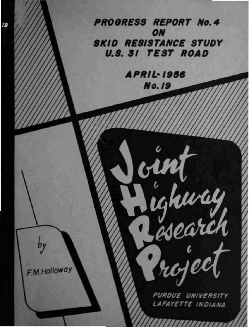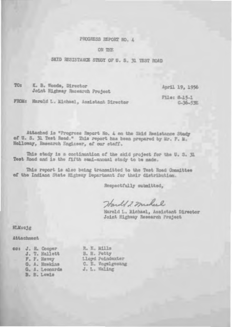### PROGRESS REPORT NO. 4

ON THE

### SKID RESISTANCE STUDY OF U. S. 31 TEST ROAD

 $TO:$ K. B. Woods, Director Joint Highway Research Project

April 19, 1956

File: 8-15-1 C-36-53E

FROM: Harold L. Michael, Assistant Director

Attached is "Progress Report No. 4 on the Skid Resistance Study of U. S. 31 Test Road." This report has been prepared by Mr. F. M. Holloway, Research Engineer, of our staff.

This study is a continuation of the skid project for the U. S. Il Test Road and is the fifth sami-annual study to be made.

This report is also being transmitted to the Test Hoad Committee of the Indiana State Highway Department for their distribution.

Respectfully submitted,

Harold 2 mileel

Harold L. Michael, Assistant Director Joint Highway Research Project

**HLM:cjg** 

Attachment

|  | co: J. R. Cooper | R. E. Mills       |
|--|------------------|-------------------|
|  | J. T. Hallett    | B. H. Potty       |
|  | F. F. Havey      | Lloyd Poindexter  |
|  | G. A. Hawkins    | C. E. Vogelgesang |
|  | G. A. Leonards   | J. L. Naling      |
|  | B. B. Lewis      |                   |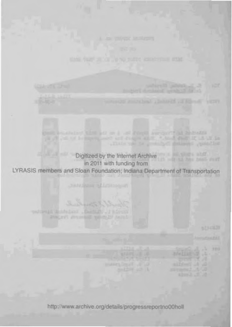the control that all me is an annual surger? at heliodis and you to be improved to determine and changed them in about the Digitized by the Internet Archive in 2011 with funding from LYRASIS members and Sloan Foundation; Indiana Department of Transportation **Joll Basic Middlessen** Warner http://www.archive.org/details/progressreportno00holl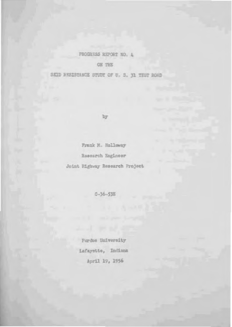### PROGRESS REPORT NO. 4

ON THE

SKID RESISTANCE STUDY OF U. S. 31 TEST ROAD

by

Frank M. Holloway Research Engineer Joint Highway Research Project

 $0 - 36 - 53E$ 

Purdue University Lafaystte, Indiana April 19, 1956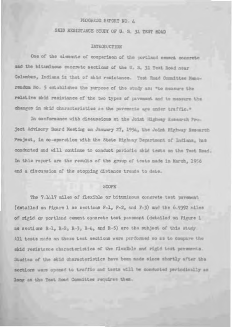# PHOGRESS REPORT NO. 4

SKID RESISTANCE STUDY OF U. S. 31 TEST ROAD

### **IMTHODUCTION**

One of the alements of comparison of the portland cement concrete and the bituninous concrete sections of the U. S. 31 Test Road near Columbus, Indiana is that of skid resistance. Test Road Committee Hunorendom No. 5 establishes the purpose of the study as: "Lo measure the relative skid resistance of the two types of pavement and to measure the changes in skid characteristics as the pavements age under traffic."

In conformance with discussions at the Joint Highway Besamech Project Advisory Board Meeting on January 27, 1954, the Joint Highway Research Project, in co-operation with the State Highway Department of Indiana, has conducted and will continue to conduct periodic skid tests on the Test Road. In this report are the results of the group of tests made in March, 1956 and a discussion of the stopping distance trands to date.

#### **SCOPE**

The 7.1417 miles of flexible or bituminous concrete test pavement (detailed on Figure 1 as sections F-1, F-2, and F-3) and the 6.9392 miles of rigid or portland cement concrete test pavement (detailed on Figure 1 as sections R-1, R-2, R-3, R-4, and R-5) are the subject of this study. All tests made on these test sections were performed so as to compare the skid resistance characteristics of the flexible and rigid test payements. Studies of the skid characteristics have been made since shortly after the sections were opened to traffic and tasts will be conducted periodically as long as the Test Road Committee requires then.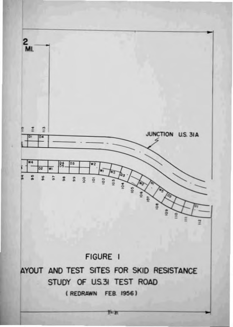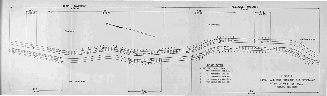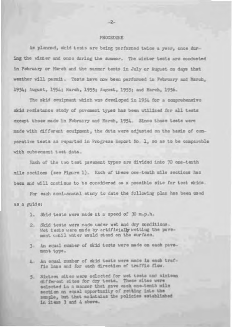#### PROCEDURE

As planned, skid tests are being performed twice a year, once during the winter and once during the summer. The winter tests are conducted in February or March and the summer tests in July or August on days that weather will permit. Tests have now been performed in February and March. 1954; August, 1954; March, 1955; August, 1955; and March, 1956.

The skid couinment which was developed in 1954 for a comprehensive skid resistance study of pavement types has been utilized for all tests except those made in February and March, 1954. Since those tests were made with different eouipment, the data were adjusted on the basis of comparative testa as reported in Progress Report No. 1, so as to be comparable with subsequent test data.

Each of the two test pavement types are divided into 70 one-tenth mile soctions (see Figure 1). Each of these one-tenth mile sections has been and will continue to be considered as a possible site for test skids.

For each semi-annual study to date the following plan has been used as a guide:

- 1. Skid tests were made at a speed of 30 m.p.h.
- 2. Skid tests were made under wet and dry conditions. Wet tests were made by artificially wetting the pavement until water would stand on the surface.
- 3. An equal number of skid tests were made on each pavemant type.
- 4. An coual number of skid tests were made in each traffie lane and for each direction of traffic flow.
- 5. Sixtem mites were selected for wet tests and aixtema different sites for dry tests. These sites were selected in a manner that gave each one-tenth mile section an equal opportunity of getting into the smsple, but that maintains the policies sstablished in items 3 and 4 above.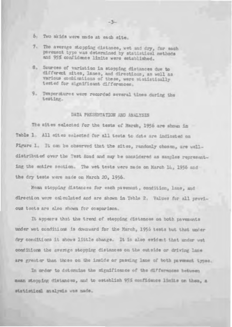- 5. Two skids were unde at each site.
- 7. The average stopping distance, wet and dry, for each pavement type was determined by statistical methods and 95% confidence limits were established.
- Sources of variation in stopping distances due to  $B_{+}$ different sites, lanes, and directions, as well as various combinations of these, were statistically tested for significant differences.
- 9. Temperatures were recorded several times curing the testing.

#### DATA PRESENTATION AND ANALYSIS

The sites selected for the tests of March, 1956 are shown in Table 1. All mites selected for all tests to date are indicated on Pigure 1. It can be observed that the sites, randomly chosen, are welldistributed over the Test Road and may be considered as samples representing the entire section. The wet tests were made on March 14, 1956 and the dry tests were made on March 20, 1956.

Mean stopping distances for each pavement, condition, lane, and direction were calculated and are shown in Table 2. Values for all previous tests are also shown for comparison.

It appears that the trend of stopping distances on both pavements under wet conditions is downward for the March, 1956 tests but that under dry conditions it shows little change. It is also evident that under wet conditions the average stopping distances on the outside or driving lane are greater than those on the inside or passing lane of both payment types.

In order to determine the significance of the differences between mean stopping distances, and to establish 95% confidence limits on them, a statistical analysis was made.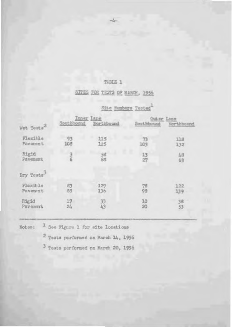# TABLE 1

# SITES FOR TESTS OF MARCH, 1956

|                        | Inner Jane     |            | Outer Lene |            |  |
|------------------------|----------------|------------|------------|------------|--|
| Wet Tests <sup>2</sup> | Southbound     | Northbound | Southbound | Northbound |  |
| Flexible<br>Pavenent   | 93<br>108      | 115<br>125 | 73<br>103  | 11a<br>132 |  |
| Rigid<br>Pavement      |                | 58<br>68   | 13<br>27   | 4B<br>63   |  |
| Dry Tests              |                |            |            |            |  |
| Flexible<br>Pavemnt    | 83<br>eä       | 129<br>136 | 78<br>98   | 122<br>139 |  |
| Rigid<br>Payment       | 17<br>$21_{1}$ | 33<br>43   | 10<br>20   | 38<br>53   |  |

# Site Bumbers Tested

Notes: <sup>1</sup> See Figure 1 for site locations

2 Tests performed on March 14, 1956

3 Tests performed on March 20, 1956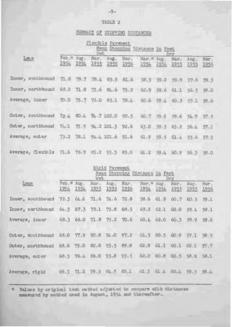### TABLE 2

# SUMMARY OF STOPPING DISTANCES

|                                                                      | Tiocible Pavement<br>Mean Stopping Distance in Feet<br>Wet.<br>Dry. |  |  |  |  |                                                                                                            |  |                                    |  |  |
|----------------------------------------------------------------------|---------------------------------------------------------------------|--|--|--|--|------------------------------------------------------------------------------------------------------------|--|------------------------------------|--|--|
| Lane                                                                 |                                                                     |  |  |  |  | Feb. " Aug. Mar. Aug. Mar. Mar. " Aug. Mar. Aug. Mar.<br>1954 1954 1955 1955 1956 1954 1954 1955 1955 1956 |  |                                    |  |  |
| Inner, southbound 71.6 79.7 78.4 85.5 81.6 58.3 59.2 59.9 57.6 59.3  |                                                                     |  |  |  |  |                                                                                                            |  |                                    |  |  |
| Inner, northbound 68.2 71.8 73.6 84.6 75.2 62.9 59.6 61.1 56.5 58.0  |                                                                     |  |  |  |  |                                                                                                            |  |                                    |  |  |
| Average, inner 70.0 75.7 76.0 85.1 78.4 60.6 59.4 60.5 57.1 58.6     |                                                                     |  |  |  |  |                                                                                                            |  |                                    |  |  |
| Outer, southbound 72 4 80 4 94 7 102 0 90.5 60.7 99.5 59.6 54.9 57.5 |                                                                     |  |  |  |  |                                                                                                            |  |                                    |  |  |
| Outer, northbound 74-1 75.9 94.2 101.3 92.6                          |                                                                     |  |  |  |  |                                                                                                            |  | 63.0 59.5 63.2 56.4 57.1           |  |  |
| Average, outer 73.2 78.1 94.4 101.6 91.6                             |                                                                     |  |  |  |  |                                                                                                            |  | $61.9$ $59.5$ $61.4$ $55.6$ $57.3$ |  |  |
| Average, flexible 71.6 76.9 85.2 93.3 85.0 61.2 59.4 60.9 56.3 58.0  |                                                                     |  |  |  |  |                                                                                                            |  |                                    |  |  |

|                                                                     | Rigid Pavement<br>Mean Stopping Distance in Fact<br>Wet<br>Dry |             |      |  |                                  |                                                   |  |                                    |                                            |  |
|---------------------------------------------------------------------|----------------------------------------------------------------|-------------|------|--|----------------------------------|---------------------------------------------------|--|------------------------------------|--------------------------------------------|--|
| Lane                                                                |                                                                | Feb. # Aug. | Har- |  | 1954 1954 1955 1955 1956         | Aug. Mar. Mar. Wag.                               |  |                                    | Nar. Aug. Mar.<br>1954 1954 1955 1955 1956 |  |
| Inner, southbound                                                   |                                                                |             |      |  | $72.3$ 64.6 $71.6$ $74.6$ $72.8$ |                                                   |  | 58.6 61.9 60.7 60.3 59.1           |                                            |  |
| Inner, northbound 64.3 67.3 72.1 75.8 68.5                          |                                                                |             |      |  |                                  |                                                   |  | 69.2 62.1 60.0 59 4 58 1           |                                            |  |
| Average, inner 68.3 66.0 71.8 75.2 70.6                             |                                                                |             |      |  |                                  |                                                   |  | $60.4$ $62.0$ $60.3$ $59.9$ $58.6$ |                                            |  |
| Outer, mouthbound 68.0 77.9 90.8 94.0 97.2 61.5 60.5 60.9 57.1 58.5 |                                                                |             |      |  |                                  |                                                   |  |                                    |                                            |  |
| Outer, northbound 68.6 75.0 82.8 93.5 89.8 62.8 61.1 60.1 60.1 57.7 |                                                                |             |      |  |                                  |                                                   |  |                                    |                                            |  |
| Average, outer 68.3 76.4 86.8 93.8 93.5 62.2 60.8 60.5 58.6 58.1    |                                                                |             |      |  |                                  |                                                   |  |                                    |                                            |  |
| Average, rigid                                                      |                                                                |             |      |  |                                  | 69.3 71.2 79.3 84.5 82.1 61.3 61.4 60.4 59.3 58.4 |  |                                    |                                            |  |

\* Values by original test method adjusted to compare with distances measured by nethod used in August, 1954 and thereafter.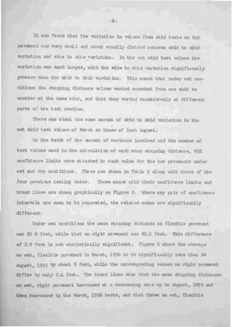It was found that the variation in values from akid tests on dry payment was very small and about squally divided between skid to skid variation and site to mite variation. In the web skid test values the variation was much larger, with the site to site variation significantly greater than the skid to skid variation. This means that under wet conditions the stopping distance waluss waried somewhat from one skid to another at the same site, and that they varied considerably at different parts of the test section.

There was about the same amount of skid to skid variation in the wet skid test values of March as those of last August.

On the basis of the mount of variance involved and the number of test values used in the calculation of each mean stopping distance, 95% confidence limits were sttached to each value for the two psycmuato under wet and dry conditions. These are shown in Table 3 along with those of the four previous testing dates. These means with their confidence limits and trend lines are shown graphically on Figure 2. Where any pair of confidence intervals are seen to be aeparated, the related means are significantly different.

Under wet conditions the mean stopping distance on flexible pavement was 85 0 feet, while that on rigid pavement was 82.1 feet. This difference of 2.9 feet is not statistically significant. Pigure 2 shows the average on wet, flexible payment in March, 1956 to be significantly less than in August, 1955 by about 8 feet, while the corresponding values on rigid payment differ by only 2.4 feet. The trend lines show that the mean stopping distances on wet, rigid pavement increased at a decreasing rate up to August, 1955 and then decreased in the Murch, 1956 tests, and that these on wet, flexible

 $-6-$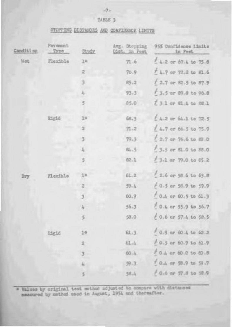## STOPPING DISTANCES AND CONFIDENCE LIMITS

| Condition | Pay cosint<br>Type | Study               | Avg. Stepping<br>Dist. in Feet | 95% Confidence Limits<br>in Feet |
|-----------|--------------------|---------------------|--------------------------------|----------------------------------|
| Net       | Flerible           | 10                  | 71.6                           | $1.2$ or 67.4 to 75.8            |
|           |                    | $\overline{z}$      | 76.9                           | $+4.7$ or $72.2$ to $81.6$       |
|           |                    |                     | 85,2                           | $1.2.7$ or 82.5 to 87.9          |
|           |                    |                     | 93.3                           | f 3.5 ar 89.8 to 96.8            |
|           |                    | 5                   | 85,0                           | [ 3.1 or 81.4 to 88.1            |
|           | Rigid              | $1+$                | 68.3                           | $1.2$ or $64.1$ to $72.5$        |
|           |                    |                     | 71.2                           | $4.7$ or 66.5 to $75.9$          |
|           |                    | 3                   | 79.3                           | $12.7$ or $76.6$ to $52.0$       |
|           |                    | 4                   | 84.5                           | f 3.5 or 81.0 to 88.0            |
|           |                    | 5                   | 82.1                           | $13.1$ or $79.0$ to $65.2$       |
| Dry       | Flexible           | ī⊕                  | 61.2                           | $2.6$ or 58.6 to 63.8            |
|           |                    | 2                   | $59 - h$                       | $+0.5$ or 58.9 to 59.9           |
|           |                    | 3                   | 60.9                           | $0 - 0$ or $60 - 5$ to $61 - 3$  |
|           |                    | $\hat{\delta}_\Phi$ | $56 - 3$                       | $0.4$ or 55.9 to 56.7            |
|           |                    | 5                   | 58.0                           | $£0.6$ or $57.4$ to $58.5$       |
|           | Rigid              | 1 <sup>a</sup>      | 61.3                           | $f$ 0.9 or 60.4 to 62.2          |
|           |                    | $\overline{2}$      | 61.4                           | $6.5$ or $60.9$ to $61.9$        |
|           |                    |                     | 60.4                           | $10.4$ or 60.0 to 60.8           |
|           |                    |                     | $99 - 3$                       | $+0.4$ or 58.9 to 59.7           |
|           |                    | 5                   | $58 - 1$                       | / 0.6 ar 57.8 to 58.9            |

. Values by original test mothod adjusted to compare with distances measured by method used in August, 1954 and thereafter.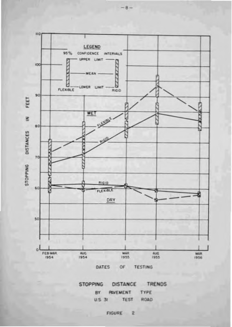





FIGURE 2

 $-8-$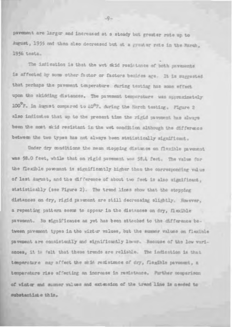pavement are larger and increased at a steady but greater rate up to August, 1955 and then also decreased but at a greater rate in the March, 1956 tests.

The indication is that the wet skid resistance of both pavesents is affected by somm other factor or factors besides age. It is maggested that perhaps the pavement temperature during testing has some effect upon the skidding distances. The pavement temperature was spproximately 100°F. in August compared to 40°F. during the Harch testing. Figure 2 also indicates that up to the present time the rigid pavescal has always been the most skid resistant in the wet condition although the difference between the two types has not always been statistically significant.

Under dry conditions the mean stopping distance on flexible pavement was 56.0 feet, while that on rigid pavement was 56.4 feet. The value for the flexible payement is significantly higher than the corresponding value of last August, and the difference of about two feet is also significant, statistically (see Figure 2). The trend lines show that the stopping distances on dry, rigid pavement are still decreasing slightly. However, a repeating pattern seems to appear in the distances on dry. Decible pavement. No significance as yet has been attached to the difference between pavement types in the winter walues, but the summer walues on flexible pavement are consistently and significantly lower. Because of the low wariances, it is felt that these trends are reliable. The indication is that temperature may affect the skin remistance of dry, flogible pavesent, a temperature rise affecting an increase in resistance. Purther comparison of winter and summer values and extension of the trand line is needed to substantiste this.

 $-9-$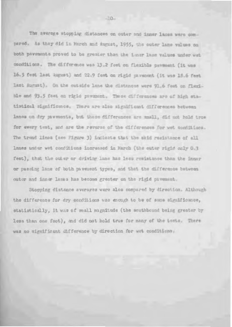The average stopping distances on outer and inner lanes were compared. As they did in March and August, 1955, the outer lane values on both pavements proved to be greater than the imar lane values under wet conditions. The difference was 13.2 feet on flexible payment (it was 16.5 feet last August) and 22.9 feet on rigid pavesent (it was 18.6 feet last August). On the outside lane the distances were 91.6 feet on flexible and 93.5 feet on rigid payment. These differences are of high statistical significance. There are also significant differences between lanes on dry pavements, but these differences are maall, did not hold true for every test, and are the reverse of the differences for wet conditions. The trend liman (see Figure 3) incleate that the skid resistance of all lanes unier wet conditions increased in March (the outer rigid only 0.3 feet), that the outer or driving lane has less resistance than the inner or passing lane of both pavezent types, and that the difference between outer and inner lanes has become greater on the rigid pavement.

Stopping distance averages were also compared by direction. Although the difference for dry conditions was enough to be of some significance, statistically, it was of small magnitude (the southbound being greater by less than one foot), and did not hold true for many of the tests. There was no significant difference by direction for wet conditions.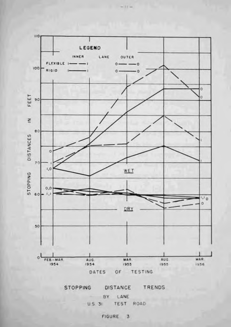

 $-11-$ 



BY LANE U.S. 31 TEST ROAD

FIGURE 3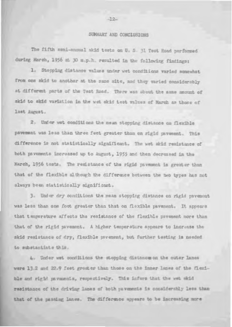### SUMMARY AND CONCLUSIONS

The fifth semi-snnual akid tests on U. S. 31 Test Road performed during March, 1956 at 30 m.p.h. resulted in the following findings:

1. Stopping distance values under wet conditions varied somewhat from one skid to another at the same site, and they varied considerably at different parts of the Test Road. There was about the same amount of skid to skid variation in the wet skid test values of March as those of Isst Aurust.

2. Under wet conditions the nean stopping distance on flexible pavement was less than three feet greater than on rigid pavement. This difference is not statistically significant. The wet skid reaistance of both pavements increased up to August, 1955 and then decreased in the Harch, 1956 tests. The remistance of the rigid pavement is greater than that of the flexible although the difference between the two types has not always been statistically significant.

3. Under dry conditions the mean stopping distance on rigid pavement was less than one foot greater than that on floxible pavement. It appears that temperature affects the resistance of the flexible pavement more than that of the rigid payement. A higher temperature appears to increase the skid resistance of dry, flexible psycnent, but further testing is needed to substantiate this.

4. Under wet conditions the stopping distance on the outer lanes were 13.2 and 22.9 feet greater than those on the inner lanss of the flexible and rigid pavaments, respectively. This infors that the wet wkid resistance of the driving lanes of both pavements in considerably less than that of the passing lance. The difference appears to be increasing more

 $-12-$